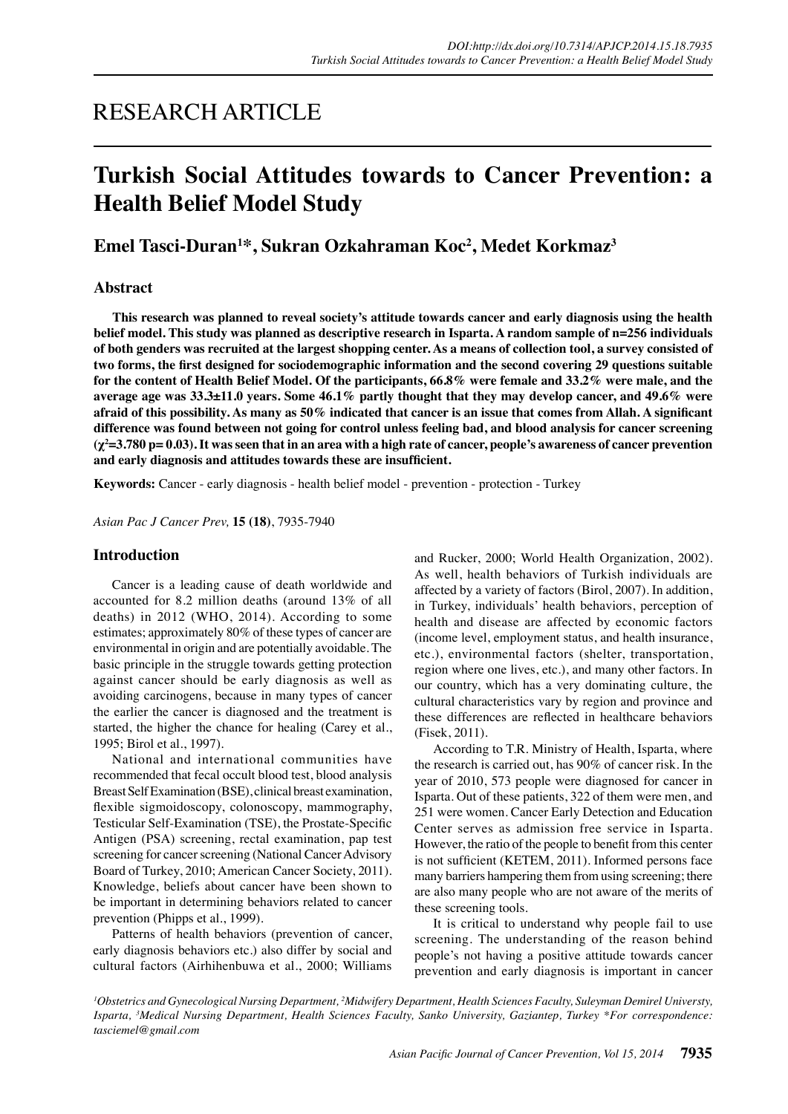# RESEARCH ARTICLE

# **Turkish Social Attitudes towards to Cancer Prevention: a Health Belief Model Study**

## **Emel Tasci-Duran1 \*, Sukran Ozkahraman Koc2 , Medet Korkmaz3**

## **Abstract**

**This research was planned to reveal society's attitude towards cancer and early diagnosis using the health belief model. This study was planned as descriptive research in Isparta. A random sample of n=256 individuals of both genders was recruited at the largest shopping center. As a means of collection tool, a survey consisted of two forms, the first designed for sociodemographic information and the second covering 29 questions suitable for the content of Health Belief Model. Of the participants, 66.8% were female and 33.2% were male, and the average age was 33.3±11.0 years. Some 46.1% partly thought that they may develop cancer, and 49.6% were afraid of this possibility. As many as 50% indicated that cancer is an issue that comes from Allah. A significant difference was found between not going for control unless feeling bad, and blood analysis for cancer screening (χ<sup>2</sup> =3.780 p= 0.03). It was seen that in an area with a high rate of cancer, people's awareness of cancer prevention and early diagnosis and attitudes towards these are insufficient.**

**Keywords:** Cancer - early diagnosis - health belief model - prevention - protection - Turkey

*Asian Pac J Cancer Prev,* **15 (18)**, 7935-7940

## **Introduction**

Cancer is a leading cause of death worldwide and accounted for 8.2 million deaths (around 13% of all deaths) in 2012 (WHO, 2014). According to some estimates; approximately 80% of these types of cancer are environmental in origin and are potentially avoidable. The basic principle in the struggle towards getting protection against cancer should be early diagnosis as well as avoiding carcinogens, because in many types of cancer the earlier the cancer is diagnosed and the treatment is started, the higher the chance for healing (Carey et al., 1995; Birol et al., 1997).

National and international communities have recommended that fecal occult blood test, blood analysis Breast Self Examination (BSE), clinical breast examination, flexible sigmoidoscopy, colonoscopy, mammography, Testicular Self-Examination (TSE), the Prostate-Specific Antigen (PSA) screening, rectal examination, pap test screening for cancer screening (National Cancer Advisory Board of Turkey, 2010; American Cancer Society, 2011). Knowledge, beliefs about cancer have been shown to be important in determining behaviors related to cancer prevention (Phipps et al., 1999).

Patterns of health behaviors (prevention of cancer, early diagnosis behaviors etc.) also differ by social and cultural factors (Airhihenbuwa et al., 2000; Williams and Rucker, 2000; World Health Organization, 2002). As well, health behaviors of Turkish individuals are affected by a variety of factors (Birol, 2007). In addition, in Turkey, individuals' health behaviors, perception of health and disease are affected by economic factors (income level, employment status, and health insurance, etc.), environmental factors (shelter, transportation, region where one lives, etc.), and many other factors. In our country, which has a very dominating culture, the cultural characteristics vary by region and province and these differences are reflected in healthcare behaviors (Fisek, 2011).

According to T.R. Ministry of Health, Isparta, where the research is carried out, has 90% of cancer risk. In the year of 2010, 573 people were diagnosed for cancer in Isparta. Out of these patients, 322 of them were men, and 251 were women. Cancer Early Detection and Education Center serves as admission free service in Isparta. However, the ratio of the people to benefit from this center is not sufficient (KETEM, 2011). Informed persons face many barriers hampering them from using screening; there are also many people who are not aware of the merits of these screening tools.

It is critical to understand why people fail to use screening. The understanding of the reason behind people's not having a positive attitude towards cancer prevention and early diagnosis is important in cancer

<sup>1</sup>Obstetrics and Gynecological Nursing Department, <sup>2</sup>Midwifery Department, Health Sciences Faculty, Suleyman Demirel Universty, *Isparta, 3 Medical Nursing Department, Health Sciences Faculty, Sanko University, Gaziantep, Turkey \*For correspondence: tasciemel@gmail.com*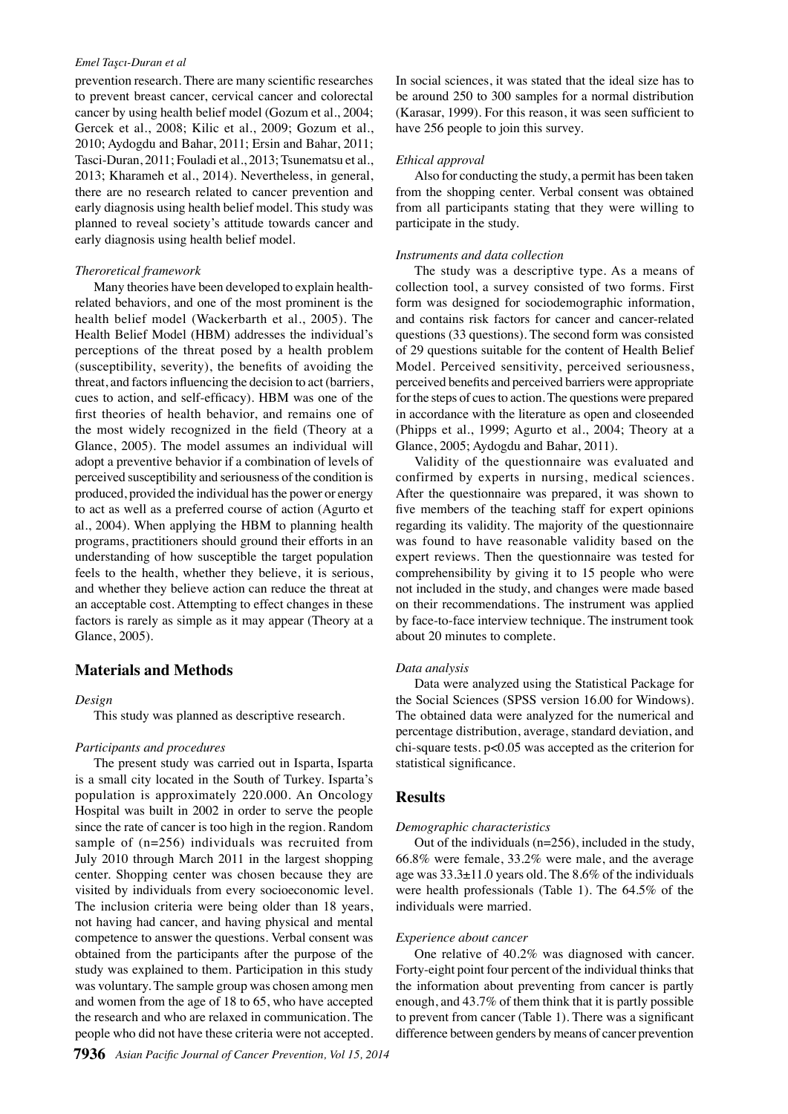#### *Emel Taşcı-Duran et al*

prevention research. There are many scientific researches to prevent breast cancer, cervical cancer and colorectal cancer by using health belief model (Gozum et al., 2004; Gercek et al., 2008; Kilic et al., 2009; Gozum et al., 2010; Aydogdu and Bahar, 2011; Ersin and Bahar, 2011; Tasci-Duran, 2011; Fouladi et al., 2013; Tsunematsu et al., 2013; Kharameh et al., 2014). Nevertheless, in general, there are no research related to cancer prevention and early diagnosis using health belief model. This study was planned to reveal society's attitude towards cancer and early diagnosis using health belief model.

#### *Theroretical framework*

Many theories have been developed to explain healthrelated behaviors, and one of the most prominent is the health belief model (Wackerbarth et al., 2005). The Health Belief Model (HBM) addresses the individual's perceptions of the threat posed by a health problem (susceptibility, severity), the benefits of avoiding the threat, and factors influencing the decision to act (barriers, cues to action, and self-efficacy). HBM was one of the first theories of health behavior, and remains one of the most widely recognized in the field (Theory at a Glance, 2005). The model assumes an individual will adopt a preventive behavior if a combination of levels of perceived susceptibility and seriousness of the condition is produced, provided the individual has the power or energy to act as well as a preferred course of action (Agurto et al., 2004). When applying the HBM to planning health programs, practitioners should ground their efforts in an understanding of how susceptible the target population feels to the health, whether they believe, it is serious, and whether they believe action can reduce the threat at an acceptable cost. Attempting to effect changes in these factors is rarely as simple as it may appear (Theory at a Glance, 2005).

## **Materials and Methods**

#### *Design*

This study was planned as descriptive research.

#### *Participants and procedures*

The present study was carried out in Isparta, Isparta is a small city located in the South of Turkey. Isparta's population is approximately 220.000. An Oncology Hospital was built in 2002 in order to serve the people since the rate of cancer is too high in the region. Random sample of (n=256) individuals was recruited from July 2010 through March 2011 in the largest shopping center. Shopping center was chosen because they are visited by individuals from every socioeconomic level. The inclusion criteria were being older than 18 years, not having had cancer, and having physical and mental competence to answer the questions. Verbal consent was obtained from the participants after the purpose of the study was explained to them. Participation in this study was voluntary. The sample group was chosen among men and women from the age of 18 to 65, who have accepted the research and who are relaxed in communication. The people who did not have these criteria were not accepted.

In social sciences, it was stated that the ideal size has to be around 250 to 300 samples for a normal distribution (Karasar, 1999). For this reason, it was seen sufficient to have 256 people to join this survey.

#### *Ethical approval*

Also for conducting the study, a permit has been taken from the shopping center. Verbal consent was obtained from all participants stating that they were willing to participate in the study.

#### *Instruments and data collection*

The study was a descriptive type. As a means of collection tool, a survey consisted of two forms. First form was designed for sociodemographic information, and contains risk factors for cancer and cancer-related questions (33 questions). The second form was consisted of 29 questions suitable for the content of Health Belief Model. Perceived sensitivity, perceived seriousness, perceived benefits and perceived barriers were appropriate for the steps of cues to action. The questions were prepared in accordance with the literature as open and closeended (Phipps et al., 1999; Agurto et al., 2004; Theory at a Glance, 2005; Aydogdu and Bahar, 2011).

Validity of the questionnaire was evaluated and confirmed by experts in nursing, medical sciences. After the questionnaire was prepared, it was shown to five members of the teaching staff for expert opinions regarding its validity. The majority of the questionnaire was found to have reasonable validity based on the expert reviews. Then the questionnaire was tested for comprehensibility by giving it to 15 people who were not included in the study, and changes were made based on their recommendations. The instrument was applied by face-to-face interview technique. The instrument took about 20 minutes to complete.

#### *Data analysis*

Data were analyzed using the Statistical Package for the Social Sciences (SPSS version 16.00 for Windows). The obtained data were analyzed for the numerical and percentage distribution, average, standard deviation, and chi-square tests. p<0.05 was accepted as the criterion for statistical significance.

#### **Results**

#### *Demographic characteristics*

Out of the individuals (n=256), included in the study, 66.8% were female, 33.2% were male, and the average age was 33.3±11.0 years old. The 8.6% of the individuals were health professionals (Table 1). The 64.5% of the individuals were married.

#### *Experience about cancer*

One relative of 40.2% was diagnosed with cancer. Forty-eight point four percent of the individual thinks that the information about preventing from cancer is partly enough, and 43.7% of them think that it is partly possible to prevent from cancer (Table 1). There was a significant difference between genders by means of cancer prevention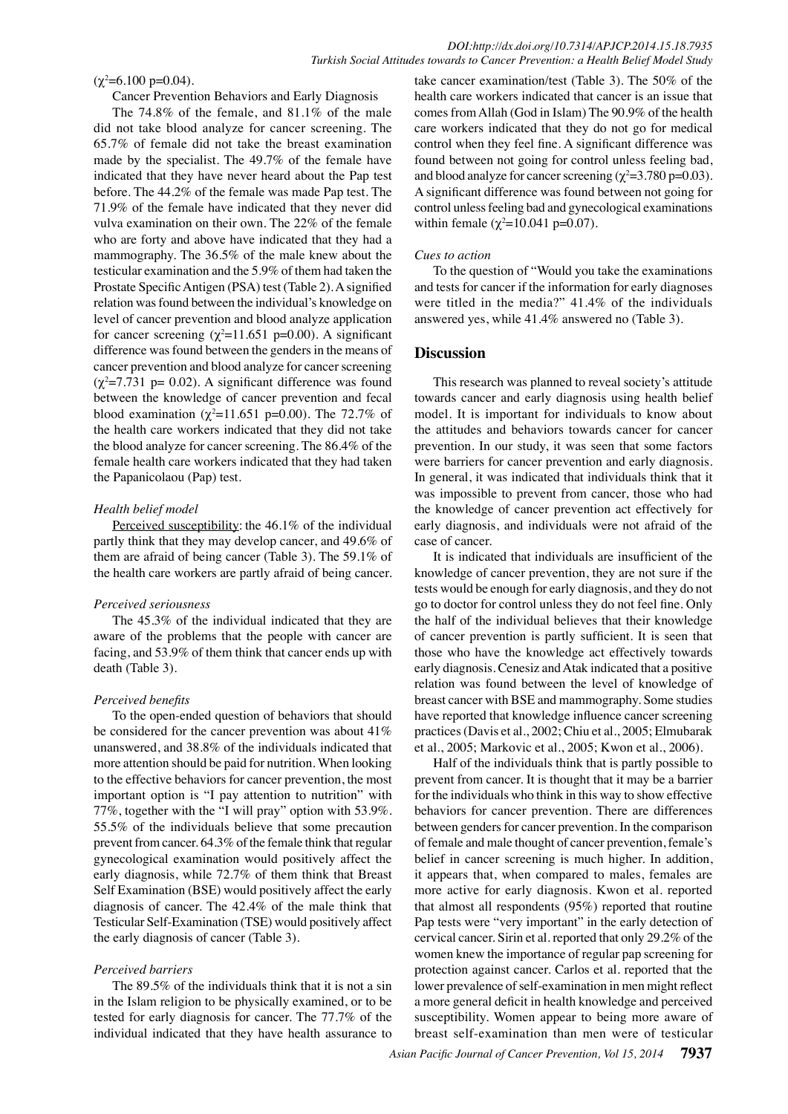$(\chi^2$ =6.100 p=0.04).

Cancer Prevention Behaviors and Early Diagnosis

The 74.8% of the female, and 81.1% of the male did not take blood analyze for cancer screening. The 65.7% of female did not take the breast examination made by the specialist. The 49.7% of the female have indicated that they have never heard about the Pap test before. The 44.2% of the female was made Pap test. The 71.9% of the female have indicated that they never did vulva examination on their own. The 22% of the female who are forty and above have indicated that they had a mammography. The 36.5% of the male knew about the testicular examination and the 5.9% of them had taken the Prostate Specific Antigen (PSA) test (Table 2). A signified relation was found between the individual's knowledge on level of cancer prevention and blood analyze application for cancer screening  $(\chi^2=11.651 \text{ p}=0.00)$ . A significant difference was found between the genders in the means of cancer prevention and blood analyze for cancer screening  $(\chi^2 = 7.731 \text{ p} = 0.02)$ . A significant difference was found between the knowledge of cancer prevention and fecal blood examination ( $\chi^2$ =11.651 p=0.00). The 72.7% of the health care workers indicated that they did not take the blood analyze for cancer screening. The 86.4% of the female health care workers indicated that they had taken the Papanicolaou (Pap) test.

### *Health belief model*

Perceived susceptibility: the 46.1% of the individual partly think that they may develop cancer, and 49.6% of them are afraid of being cancer (Table 3). The 59.1% of the health care workers are partly afraid of being cancer.

#### *Perceived seriousness*

The 45.3% of the individual indicated that they are aware of the problems that the people with cancer are facing, and 53.9% of them think that cancer ends up with death (Table 3).

#### *Perceived benefits*

To the open-ended question of behaviors that should be considered for the cancer prevention was about 41% unanswered, and 38.8% of the individuals indicated that more attention should be paid for nutrition. When looking to the effective behaviors for cancer prevention, the most important option is "I pay attention to nutrition" with 77%, together with the "I will pray" option with 53.9%. 55.5% of the individuals believe that some precaution prevent from cancer. 64.3% of the female think that regular gynecological examination would positively affect the early diagnosis, while 72.7% of them think that Breast Self Examination (BSE) would positively affect the early diagnosis of cancer. The 42.4% of the male think that Testicular Self-Examination (TSE) would positively affect the early diagnosis of cancer (Table 3).

#### *Perceived barriers*

The 89.5% of the individuals think that it is not a sin in the Islam religion to be physically examined, or to be tested for early diagnosis for cancer. The 77.7% of the individual indicated that they have health assurance to

take cancer examination/test (Table 3). The 50% of the health care workers indicated that cancer is an issue that comes from Allah (God in Islam) The 90.9% of the health care workers indicated that they do not go for medical control when they feel fine. A significant difference was found between not going for control unless feeling bad, and blood analyze for cancer screening ( $\chi^2$ =3.780 p=0.03). A significant difference was found between not going for control unless feeling bad and gynecological examinations within female  $(\chi^2 = 10.041 \text{ p} = 0.07)$ .

#### *Cues to action*

To the question of "Would you take the examinations and tests for cancer if the information for early diagnoses were titled in the media?" 41.4% of the individuals answered yes, while 41.4% answered no (Table 3).

## **Discussion**

This research was planned to reveal society's attitude towards cancer and early diagnosis using health belief model. It is important for individuals to know about the attitudes and behaviors towards cancer for cancer prevention. In our study, it was seen that some factors were barriers for cancer prevention and early diagnosis. In general, it was indicated that individuals think that it was impossible to prevent from cancer, those who had the knowledge of cancer prevention act effectively for early diagnosis, and individuals were not afraid of the case of cancer.

It is indicated that individuals are insufficient of the knowledge of cancer prevention, they are not sure if the tests would be enough for early diagnosis, and they do not go to doctor for control unless they do not feel fine. Only the half of the individual believes that their knowledge of cancer prevention is partly sufficient. It is seen that those who have the knowledge act effectively towards early diagnosis. Cenesiz and Atak indicated that a positive relation was found between the level of knowledge of breast cancer with BSE and mammography. Some studies have reported that knowledge influence cancer screening practices (Davis et al., 2002; Chiu et al., 2005; Elmubarak et al., 2005; Markovic et al., 2005; Kwon et al., 2006).

Half of the individuals think that is partly possible to prevent from cancer. It is thought that it may be a barrier for the individuals who think in this way to show effective behaviors for cancer prevention. There are differences between genders for cancer prevention. In the comparison of female and male thought of cancer prevention, female's belief in cancer screening is much higher. In addition, it appears that, when compared to males, females are more active for early diagnosis. Kwon et al. reported that almost all respondents (95%) reported that routine Pap tests were "very important" in the early detection of cervical cancer. Sirin et al. reported that only 29.2% of the women knew the importance of regular pap screening for protection against cancer. Carlos et al. reported that the lower prevalence of self-examination in men might reflect a more general deficit in health knowledge and perceived susceptibility. Women appear to being more aware of breast self-examination than men were of testicular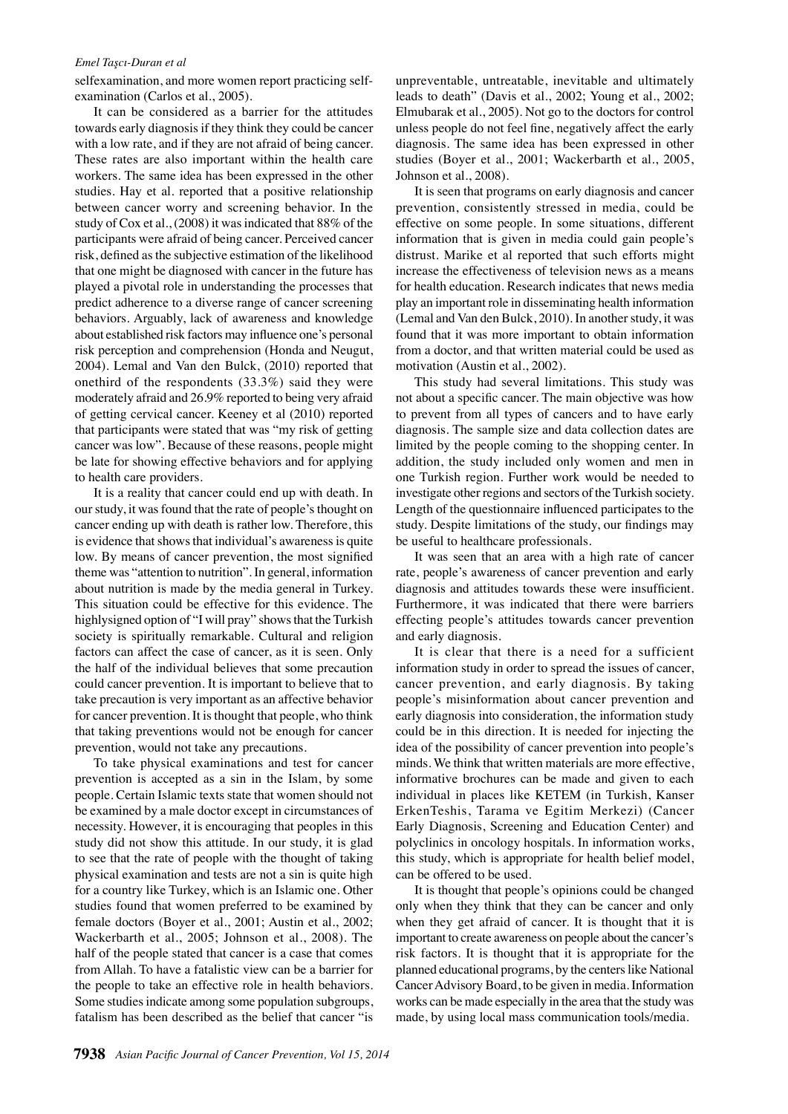#### *Emel Taşcı-Duran et al*

selfexamination, and more women report practicing selfexamination (Carlos et al., 2005).

It can be considered as a barrier for the attitudes towards early diagnosis if they think they could be cancer with a low rate, and if they are not afraid of being cancer. These rates are also important within the health care workers. The same idea has been expressed in the other studies. Hay et al. reported that a positive relationship between cancer worry and screening behavior. In the study of Cox et al., (2008) it was indicated that 88% of the participants were afraid of being cancer. Perceived cancer risk, defined as the subjective estimation of the likelihood that one might be diagnosed with cancer in the future has played a pivotal role in understanding the processes that predict adherence to a diverse range of cancer screening behaviors. Arguably, lack of awareness and knowledge about established risk factors may influence one's personal risk perception and comprehension (Honda and Neugut, 2004). Lemal and Van den Bulck, (2010) reported that onethird of the respondents (33.3%) said they were moderately afraid and 26.9% reported to being very afraid of getting cervical cancer. Keeney et al (2010) reported that participants were stated that was "my risk of getting cancer was low". Because of these reasons, people might be late for showing effective behaviors and for applying to health care providers.

It is a reality that cancer could end up with death. In our study, it was found that the rate of people's thought on cancer ending up with death is rather low. Therefore, this is evidence that shows that individual's awareness is quite low. By means of cancer prevention, the most signified theme was "attention to nutrition". In general, information about nutrition is made by the media general in Turkey. This situation could be effective for this evidence. The highlysigned option of "I will pray" shows that the Turkish society is spiritually remarkable. Cultural and religion factors can affect the case of cancer, as it is seen. Only the half of the individual believes that some precaution could cancer prevention. It is important to believe that to take precaution is very important as an affective behavior for cancer prevention. It is thought that people, who think that taking preventions would not be enough for cancer prevention, would not take any precautions.

To take physical examinations and test for cancer prevention is accepted as a sin in the Islam, by some people. Certain Islamic texts state that women should not be examined by a male doctor except in circumstances of necessity. However, it is encouraging that peoples in this study did not show this attitude. In our study, it is glad to see that the rate of people with the thought of taking physical examination and tests are not a sin is quite high for a country like Turkey, which is an Islamic one. Other studies found that women preferred to be examined by female doctors (Boyer et al., 2001; Austin et al., 2002; Wackerbarth et al., 2005; Johnson et al., 2008). The half of the people stated that cancer is a case that comes from Allah. To have a fatalistic view can be a barrier for the people to take an effective role in health behaviors. Some studies indicate among some population subgroups, fatalism has been described as the belief that cancer "is

unpreventable, untreatable, inevitable and ultimately leads to death" (Davis et al., 2002; Young et al., 2002; Elmubarak et al., 2005). Not go to the doctors for control unless people do not feel fine, negatively affect the early diagnosis. The same idea has been expressed in other studies (Boyer et al., 2001; Wackerbarth et al., 2005, Johnson et al., 2008).

It is seen that programs on early diagnosis and cancer prevention, consistently stressed in media, could be effective on some people. In some situations, different information that is given in media could gain people's distrust. Marike et al reported that such efforts might increase the effectiveness of television news as a means for health education. Research indicates that news media play an important role in disseminating health information (Lemal and Van den Bulck, 2010). In another study, it was found that it was more important to obtain information from a doctor, and that written material could be used as motivation (Austin et al., 2002).

This study had several limitations. This study was not about a specific cancer. The main objective was how to prevent from all types of cancers and to have early diagnosis. The sample size and data collection dates are limited by the people coming to the shopping center. In addition, the study included only women and men in one Turkish region. Further work would be needed to investigate other regions and sectors of the Turkish society. Length of the questionnaire influenced participates to the study. Despite limitations of the study, our findings may be useful to healthcare professionals.

It was seen that an area with a high rate of cancer rate, people's awareness of cancer prevention and early diagnosis and attitudes towards these were insufficient. Furthermore, it was indicated that there were barriers effecting people's attitudes towards cancer prevention and early diagnosis.

It is clear that there is a need for a sufficient information study in order to spread the issues of cancer, cancer prevention, and early diagnosis. By taking people's misinformation about cancer prevention and early diagnosis into consideration, the information study could be in this direction. It is needed for injecting the idea of the possibility of cancer prevention into people's minds. We think that written materials are more effective, informative brochures can be made and given to each individual in places like KETEM (in Turkish, Kanser ErkenTeshis, Tarama ve Egitim Merkezi) (Cancer Early Diagnosis, Screening and Education Center) and polyclinics in oncology hospitals. In information works, this study, which is appropriate for health belief model, can be offered to be used.

It is thought that people's opinions could be changed only when they think that they can be cancer and only when they get afraid of cancer. It is thought that it is important to create awareness on people about the cancer's risk factors. It is thought that it is appropriate for the planned educational programs, by the centers like National Cancer Advisory Board, to be given in media. Information works can be made especially in the area that the study was made, by using local mass communication tools/media.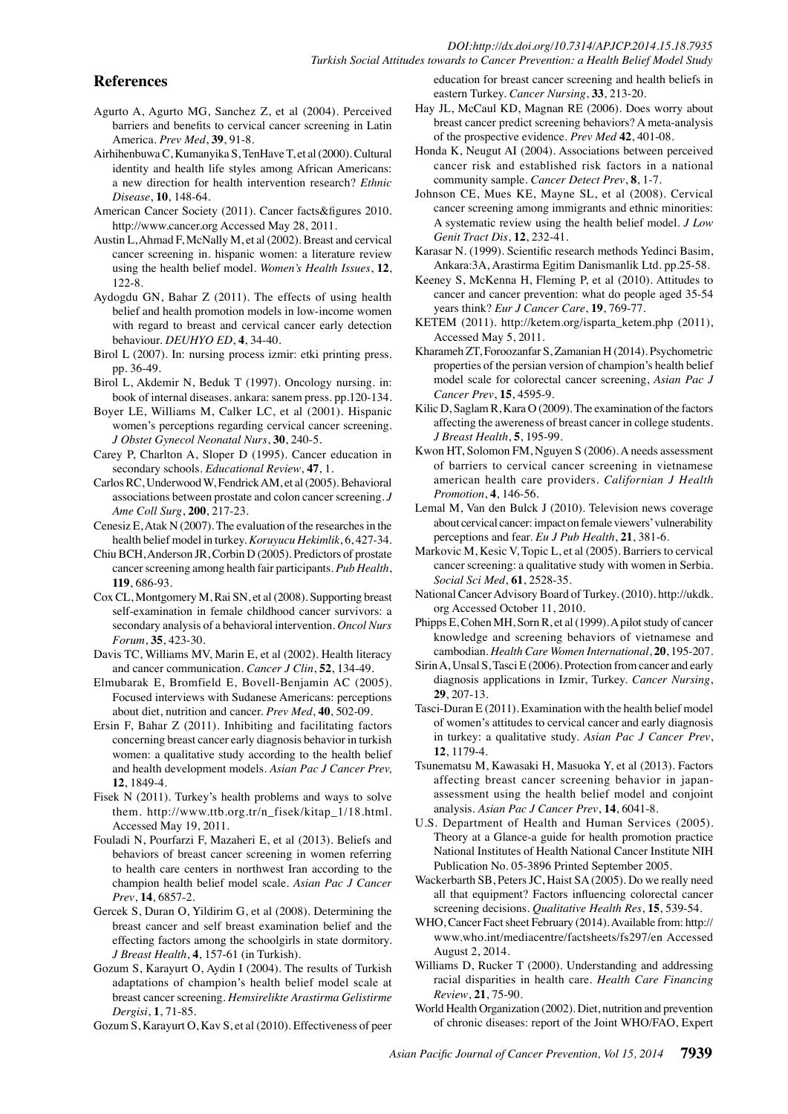## *DOI:http://dx.doi.org/10.7314/APJCP.2014.15.18.7935 Turkish Social Attitudes towards to Cancer Prevention: a Health Belief Model Study*

## **References**

- Agurto A, Agurto MG, Sanchez Z, et al (2004). Perceived barriers and benefits to cervical cancer screening in Latin America. *Prev Med*, **39**, 91-8.
- Airhihenbuwa C, Kumanyika S, TenHave T, et al (2000). Cultural identity and health life styles among African Americans: a new direction for health intervention research? *Ethnic Disease*, **10**, 148-64.
- American Cancer Society (2011). Cancer facts&figures 2010. http://www.cancer.org Accessed May 28, 2011.
- Austin L, Ahmad F, McNally M, et al (2002). Breast and cervical cancer screening in. hispanic women: a literature review using the health belief model. *Women's Health Issues*, **12**, 122-8.
- Aydogdu GN, Bahar Z (2011). The effects of using health belief and health promotion models in low-income women with regard to breast and cervical cancer early detection behaviour. *DEUHYO ED*, **4**, 34-40.
- Birol L (2007). In: nursing process izmir: etki printing press. pp. 36-49.
- Birol L, Akdemir N, Beduk T (1997). Oncology nursing. in: book of internal diseases. ankara: sanem press. pp.120-134.
- Boyer LE, Williams M, Calker LC, et al (2001). Hispanic women's perceptions regarding cervical cancer screening. *J Obstet Gynecol Neonatal Nurs*, **30**, 240-5.
- Carey P, Charlton A, Sloper D (1995). Cancer education in secondary schools. *Educational Review*, **47**, 1.
- Carlos RC, Underwood W, Fendrick AM, et al (2005). Behavioral associations between prostate and colon cancer screening. *J Ame Coll Surg*, **200**, 217-23.
- Cenesiz E, Atak N (2007). The evaluation of the researches in the health belief model in turkey. *Koruyucu Hekimlik*, 6, 427-34.
- Chiu BCH, Anderson JR, Corbin D (2005). Predictors of prostate cancer screening among health fair participants. *Pub Health*, **119**, 686-93.
- Cox CL, Montgomery M, Rai SN, et al (2008). Supporting breast self-examination in female childhood cancer survivors: a secondary analysis of a behavioral intervention. *Oncol Nurs Forum*, **35**, 423-30.
- Davis TC, Williams MV, Marin E, et al (2002). Health literacy and cancer communication. *Cancer J Clin*, **52**, 134-49.
- Elmubarak E, Bromfield E, Bovell-Benjamin AC (2005). Focused interviews with Sudanese Americans: perceptions about diet, nutrition and cancer. *Prev Med*, **40**, 502-09.
- Ersin F, Bahar Z (2011). Inhibiting and facilitating factors concerning breast cancer early diagnosis behavior in turkish women: a qualitative study according to the health belief and health development models. *Asian Pac J Cancer Prev,* **12**, 1849-4.
- Fisek N (2011). Turkey's health problems and ways to solve them. http://www.ttb.org.tr/n\_fisek/kitap\_1/18.html. Accessed May 19, 2011.
- Fouladi N, Pourfarzi F, Mazaheri E, et al (2013). Beliefs and behaviors of breast cancer screening in women referring to health care centers in northwest Iran according to the champion health belief model scale. *Asian Pac J Cancer Prev*, **14**, 6857-2.
- Gercek S, Duran O, Yildirim G, et al (2008). Determining the breast cancer and self breast examination belief and the effecting factors among the schoolgirls in state dormitory. *J Breast Health*, **4**, 157-61 (in Turkish).
- Gozum S, Karayurt O, Aydin I (2004). The results of Turkish adaptations of champion's health belief model scale at breast cancer screening. *Hemsirelikte Arastirma Gelistirme Dergisi*, **1**, 71-85.
- Gozum S, Karayurt O, Kav S, et al (2010). Effectiveness of peer

education for breast cancer screening and health beliefs in eastern Turkey. *Cancer Nursing*, **33**, 213-20.

- Hay JL, McCaul KD, Magnan RE (2006). Does worry about breast cancer predict screening behaviors? A meta-analysis of the prospective evidence. *Prev Med* **42**, 401-08.
- Honda K, Neugut AI (2004). Associations between perceived cancer risk and established risk factors in a national community sample. *Cancer Detect Prev*, **8**, 1-7.
- Johnson CE, Mues KE, Mayne SL, et al (2008). Cervical cancer screening among immigrants and ethnic minorities: A systematic review using the health belief model. *J Low Genit Tract Dis*, **12**, 232-41.
- Karasar N. (1999). Scientific research methods Yedinci Basim, Ankara:3A, Arastirma Egitim Danismanlik Ltd. pp.25-58.
- Keeney S, McKenna H, Fleming P, et al (2010). Attitudes to cancer and cancer prevention: what do people aged 35-54 years think? *Eur J Cancer Care*, **19**, 769-77.
- KETEM (2011). http://ketem.org/isparta\_ketem.php (2011), Accessed May 5, 2011.
- Kharameh ZT, Foroozanfar S, Zamanian H (2014). Psychometric properties of the persian version of champion's health belief model scale for colorectal cancer screening, *Asian Pac J Cancer Prev*, **15**, 4595-9.
- Kilic D, Saglam R, Kara O (2009). The examination of the factors affecting the awereness of breast cancer in college students. *J Breast Health*, **5**, 195-99.
- Kwon HT, Solomon FM, Nguyen S (2006). A needs assessment of barriers to cervical cancer screening in vietnamese american health care providers. *Californian J Health Promotion*, **4**, 146-56.
- Lemal M, Van den Bulck J (2010). Television news coverage about cervical cancer: impact on female viewers' vulnerability perceptions and fear. *Eu J Pub Health*, **21**, 381-6.
- Markovic M, Kesic V, Topic L, et al (2005). Barriers to cervical cancer screening: a qualitative study with women in Serbia. *Social Sci Med*, **61**, 2528-35.
- National Cancer Advisory Board of Turkey. (2010). http://ukdk. org Accessed October 11, 2010.
- Phipps E, Cohen MH, Sorn R, et al (1999). A pilot study of cancer knowledge and screening behaviors of vietnamese and cambodian. *Health Care Women International*, **20**, 195-207.
- Sirin A, Unsal S, Tasci E (2006). Protection from cancer and early diagnosis applications in Izmir, Turkey. *Cancer Nursing*, **29**, 207-13.
- Tasci-Duran E (2011). Examination with the health belief model of women's attitudes to cervical cancer and early diagnosis in turkey: a qualitative study. *Asian Pac J Cancer Prev*, **12**, 1179-4.
- Tsunematsu M, Kawasaki H, Masuoka Y, et al (2013). Factors affecting breast cancer screening behavior in japanassessment using the health belief model and conjoint analysis. *Asian Pac J Cancer Prev*, **14**, 6041-8.
- U.S. Department of Health and Human Services (2005). Theory at a Glance-a guide for health promotion practice National Institutes of Health National Cancer Institute NIH Publication No. 05-3896 Printed September 2005.
- Wackerbarth SB, Peters JC, Haist SA (2005). Do we really need all that equipment? Factors influencing colorectal cancer screening decisions. *Qualitative Health Res*, **15**, 539-54.
- WHO, Cancer Fact sheet February (2014). Available from: http:// www.who.int/mediacentre/factsheets/fs297/en Accessed August 2, 2014.
- Williams D, Rucker T (2000). Understanding and addressing racial disparities in health care. *Health Care Financing Review*, **21**, 75-90.
- World Health Organization (2002). Diet, nutrition and prevention of chronic diseases: report of the Joint WHO/FAO, Expert